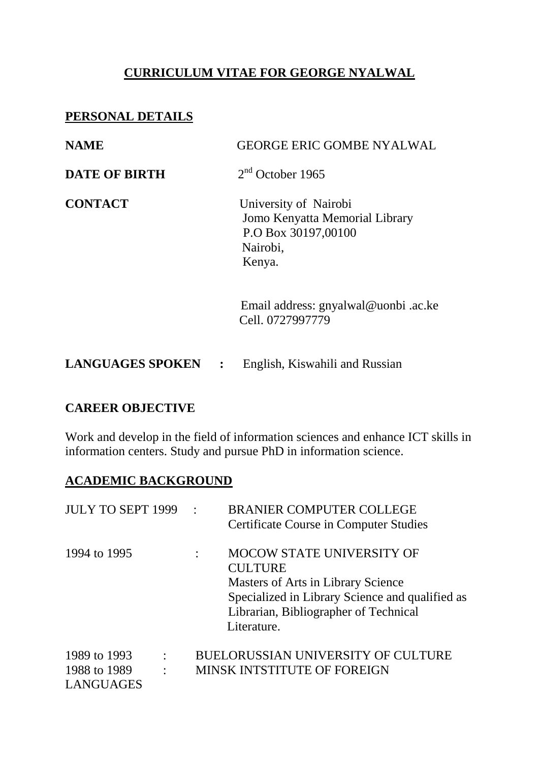# **CURRICULUM VITAE FOR GEORGE NYALWAL**

## **PERSONAL DETAILS**

| <b>NAME</b>             | <b>GEORGE ERIC GOMBE NYALWAL</b>                                                                     |
|-------------------------|------------------------------------------------------------------------------------------------------|
| <b>DATE OF BIRTH</b>    | $2nd$ October 1965                                                                                   |
| <b>CONTACT</b>          | University of Nairobi<br>Jomo Kenyatta Memorial Library<br>P.O Box 30197,00100<br>Nairobi,<br>Kenya. |
|                         | Email address: gnyalwal@uonbi.ac.ke<br>Cell. 0727997779                                              |
| <b>LANGUAGES SPOKEN</b> | English, Kiswahili and Russian                                                                       |

### **CAREER OBJECTIVE**

Work and develop in the field of information sciences and enhance ICT skills in information centers. Study and pursue PhD in information science.

### **ACADEMIC BACKGROUND**

| <b>JULY TO SEPT 1999</b>                  |                                  | <b>BRANIER COMPUTER COLLEGE</b><br><b>Certificate Course in Computer Studies</b>                                                                                                             |
|-------------------------------------------|----------------------------------|----------------------------------------------------------------------------------------------------------------------------------------------------------------------------------------------|
| 1994 to 1995                              |                                  | MOCOW STATE UNIVERSITY OF<br><b>CULTURE</b><br>Masters of Arts in Library Science<br>Specialized in Library Science and qualified as<br>Librarian, Bibliographer of Technical<br>Literature. |
| 1989 to 1993<br>1988 to 1989<br>LANGUAGES | $\ddot{\cdot}$<br>$\ddot{\cdot}$ | BUELORUSSIAN UNIVERSITY OF CULTURE<br>MINSK INTSTITUTE OF FOREIGN                                                                                                                            |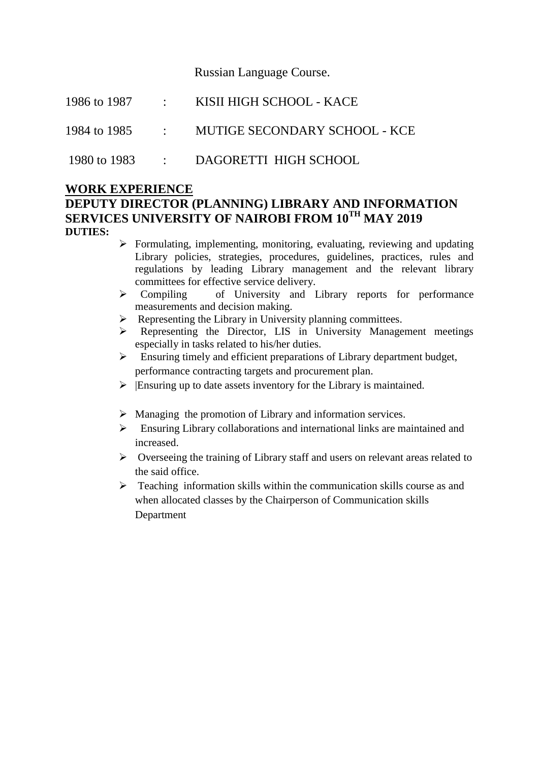Russian Language Course.

|  | 1986 to 1987 : KISII HIGH SCHOOL - KACE      |
|--|----------------------------------------------|
|  | 1984 to 1985 : MUTIGE SECONDARY SCHOOL - KCE |
|  | 1980 to 1983 : DAGORETTI HIGH SCHOOL         |

#### **WORK EXPERIENCE DEPUTY DIRECTOR (PLANNING) LIBRARY AND INFORMATION SERVICES UNIVERSITY OF NAIROBI FROM 10TH MAY 2019 DUTIES:**

- $\triangleright$  Formulating, implementing, monitoring, evaluating, reviewing and updating Library policies, strategies, procedures, guidelines, practices, rules and regulations by leading Library management and the relevant library committees for effective service delivery.
- Compiling of University and Library reports for performance measurements and decision making.
- $\triangleright$  Representing the Library in University planning committees.
- Representing the Director, LIS in University Management meetings especially in tasks related to his/her duties.
- $\triangleright$  Ensuring timely and efficient preparations of Library department budget, performance contracting targets and procurement plan.
- $\triangleright$  Ensuring up to date assets inventory for the Library is maintained.
- $\triangleright$  Managing the promotion of Library and information services.
- Ensuring Library collaborations and international links are maintained and increased.
- $\triangleright$  Overseeing the training of Library staff and users on relevant areas related to the said office.
- $\triangleright$  Teaching information skills within the communication skills course as and when allocated classes by the Chairperson of Communication skills Department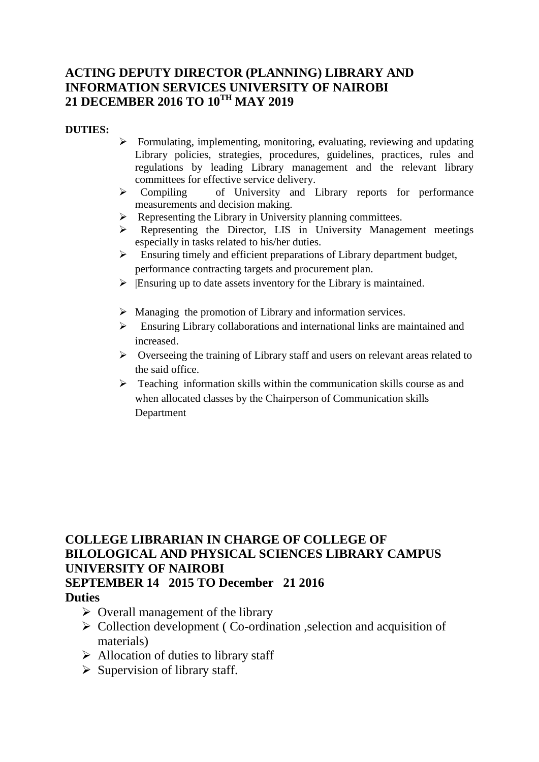## **ACTING DEPUTY DIRECTOR (PLANNING) LIBRARY AND INFORMATION SERVICES UNIVERSITY OF NAIROBI 21 DECEMBER 2016 TO 10TH MAY 2019**

#### **DUTIES:**

- $\triangleright$  Formulating, implementing, monitoring, evaluating, reviewing and updating Library policies, strategies, procedures, guidelines, practices, rules and regulations by leading Library management and the relevant library committees for effective service delivery.<br>  $\triangleright$  Compiling of University and I
- of University and Library reports for performance measurements and decision making.
- $\triangleright$  Representing the Library in University planning committees.
- Representing the Director, LIS in University Management meetings especially in tasks related to his/her duties.
- $\triangleright$  Ensuring timely and efficient preparations of Library department budget, performance contracting targets and procurement plan.
- $\triangleright$  Ensuring up to date assets inventory for the Library is maintained.
- $\triangleright$  Managing the promotion of Library and information services.
- $\triangleright$  Ensuring Library collaborations and international links are maintained and increased.
- $\triangleright$  Overseeing the training of Library staff and users on relevant areas related to the said office.
- $\triangleright$  Teaching information skills within the communication skills course as and when allocated classes by the Chairperson of Communication skills **Department**

# **COLLEGE LIBRARIAN IN CHARGE OF COLLEGE OF BILOLOGICAL AND PHYSICAL SCIENCES LIBRARY CAMPUS UNIVERSITY OF NAIROBI SEPTEMBER 14 2015 TO December 21 2016**

#### **Duties**

- $\triangleright$  Overall management of the library
- $\triangleright$  Collection development (Co-ordination , selection and acquisition of materials)
- $\triangleright$  Allocation of duties to library staff
- $\triangleright$  Supervision of library staff.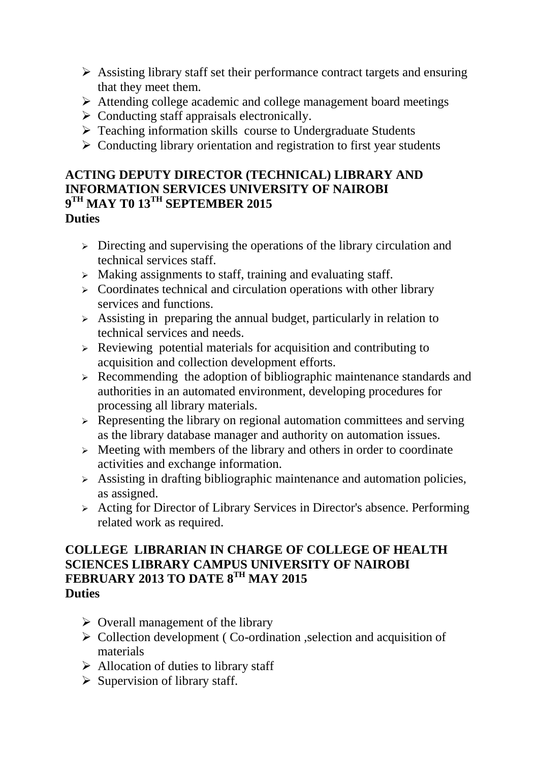- $\triangleright$  Assisting library staff set their performance contract targets and ensuring that they meet them.
- Attending college academic and college management board meetings
- $\triangleright$  Conducting staff appraisals electronically.
- $\triangleright$  Teaching information skills course to Undergraduate Students
- $\triangleright$  Conducting library orientation and registration to first year students

## **ACTING DEPUTY DIRECTOR (TECHNICAL) LIBRARY AND INFORMATION SERVICES UNIVERSITY OF NAIROBI 9 TH MAY T0 13TH SEPTEMBER 2015 Duties**

- > Directing and supervising the operations of the library circulation and technical services staff.
- > Making assignments to staff, training and evaluating staff.
- $\triangleright$  Coordinates technical and circulation operations with other library services and functions.
- $\geq$  Assisting in preparing the annual budget, particularly in relation to technical services and needs.
- $\triangleright$  Reviewing potential materials for acquisition and contributing to acquisition and collection development efforts.
- $\triangleright$  Recommending the adoption of bibliographic maintenance standards and authorities in an automated environment, developing procedures for processing all library materials.
- $\triangleright$  Representing the library on regional automation committees and serving as the library database manager and authority on automation issues.
- $\geq$  Meeting with members of the library and others in order to coordinate activities and exchange information.
- $\geq$  Assisting in drafting bibliographic maintenance and automation policies, as assigned.
- $\triangleright$  Acting for Director of Library Services in Director's absence. Performing related work as required.

## **COLLEGE LIBRARIAN IN CHARGE OF COLLEGE OF HEALTH SCIENCES LIBRARY CAMPUS UNIVERSITY OF NAIROBI FEBRUARY 2013 TO DATE 8TH MAY 2015 Duties**

- $\triangleright$  Overall management of the library
- $\triangleright$  Collection development (Co-ordination , selection and acquisition of materials
- $\triangleright$  Allocation of duties to library staff
- $\triangleright$  Supervision of library staff.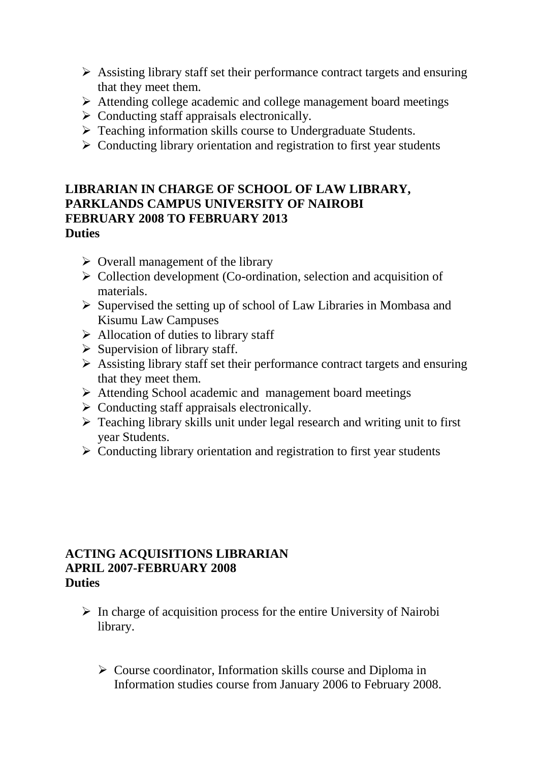- $\triangleright$  Assisting library staff set their performance contract targets and ensuring that they meet them.
- Attending college academic and college management board meetings
- $\triangleright$  Conducting staff appraisals electronically.
- $\triangleright$  Teaching information skills course to Undergraduate Students.
- $\triangleright$  Conducting library orientation and registration to first year students

#### **LIBRARIAN IN CHARGE OF SCHOOL OF LAW LIBRARY, PARKLANDS CAMPUS UNIVERSITY OF NAIROBI FEBRUARY 2008 TO FEBRUARY 2013 Duties**

- $\triangleright$  Overall management of the library
- $\triangleright$  Collection development (Co-ordination, selection and acquisition of materials.
- $\triangleright$  Supervised the setting up of school of Law Libraries in Mombasa and Kisumu Law Campuses
- $\triangleright$  Allocation of duties to library staff
- $\triangleright$  Supervision of library staff.
- $\triangleright$  Assisting library staff set their performance contract targets and ensuring that they meet them.
- $\triangleright$  Attending School academic and management board meetings
- $\triangleright$  Conducting staff appraisals electronically.
- Teaching library skills unit under legal research and writing unit to first year Students.
- $\triangleright$  Conducting library orientation and registration to first year students

#### **ACTING ACQUISITIONS LIBRARIAN APRIL 2007-FEBRUARY 2008 Duties**

- $\triangleright$  In charge of acquisition process for the entire University of Nairobi library.
	- $\triangleright$  Course coordinator, Information skills course and Diploma in Information studies course from January 2006 to February 2008.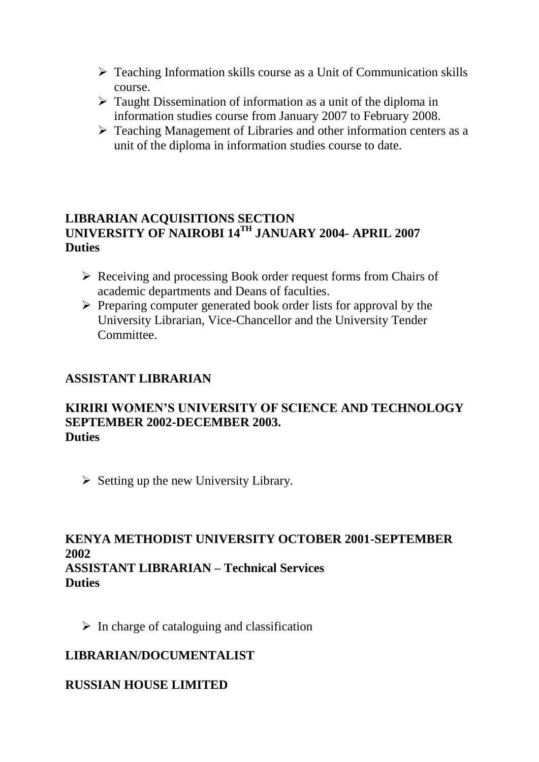- $\triangleright$  Teaching Information skills course as a Unit of Communication skills course.
- Taught Dissemination of information as a unit of the diploma in information studies course from January 2007 to February 2008.
- $\triangleright$  Teaching Management of Libraries and other information centers as a unit of the diploma in information studies course to date.

## **LIBRARIAN ACQUISITIONS SECTION UNIVERSITY OF NAIROBI 14TH JANUARY 2004- APRIL 2007 Duties**

- ▶ Receiving and processing Book order request forms from Chairs of academic departments and Deans of faculties.
- $\triangleright$  Preparing computer generated book order lists for approval by the University Librarian, Vice-Chancellor and the University Tender Committee.

## **ASSISTANT LIBRARIAN**

#### **KIRIRI WOMEN'S UNIVERSITY OF SCIENCE AND TECHNOLOGY SEPTEMBER 2002-DECEMBER 2003. Duties**

 $\triangleright$  Setting up the new University Library.

## **KENYA METHODIST UNIVERSITY OCTOBER 2001-SEPTEMBER 2002 ASSISTANT LIBRARIAN – Technical Services Duties**

 $\triangleright$  In charge of cataloguing and classification

# **LIBRARIAN/DOCUMENTALIST**

## **RUSSIAN HOUSE LIMITED**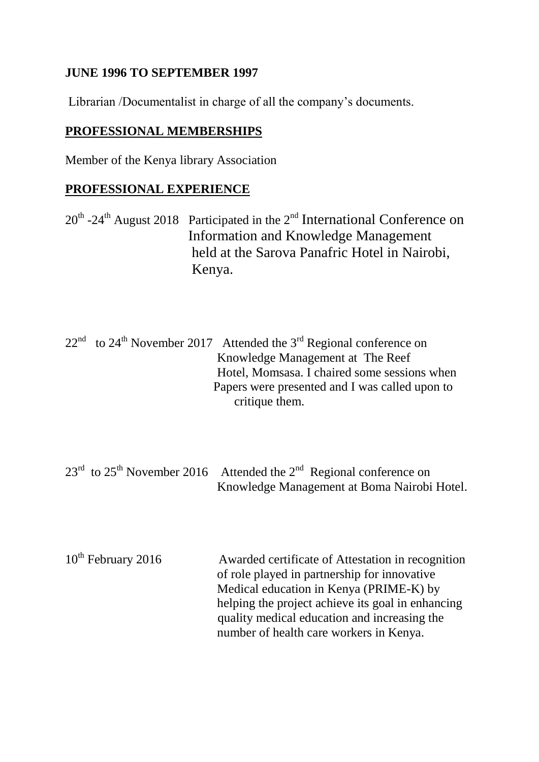## **JUNE 1996 TO SEPTEMBER 1997**

Librarian /Documentalist in charge of all the company's documents.

## **PROFESSIONAL MEMBERSHIPS**

Member of the Kenya library Association

## **PROFESSIONAL EXPERIENCE**

 $20<sup>th</sup>$  -24<sup>th</sup> August 2018 Participated in the 2<sup>nd</sup> International Conference on Information and Knowledge Management held at the Sarova Panafric Hotel in Nairobi, Kenya.

 $22<sup>nd</sup>$  to  $24<sup>th</sup>$  November 2017 Attended the 3<sup>rd</sup> Regional conference on Knowledge Management at The Reef Hotel, Momsasa. I chaired some sessions when Papers were presented and I was called upon to critique them.

 $23<sup>rd</sup>$  to  $25<sup>th</sup>$  November 2016 Attended the  $2<sup>nd</sup>$  Regional conference on Knowledge Management at Boma Nairobi Hotel.

10<sup>th</sup> February 2016 Awarded certificate of Attestation in recognition of role played in partnership for innovative Medical education in Kenya (PRIME-K) by helping the project achieve its goal in enhancing quality medical education and increasing the number of health care workers in Kenya.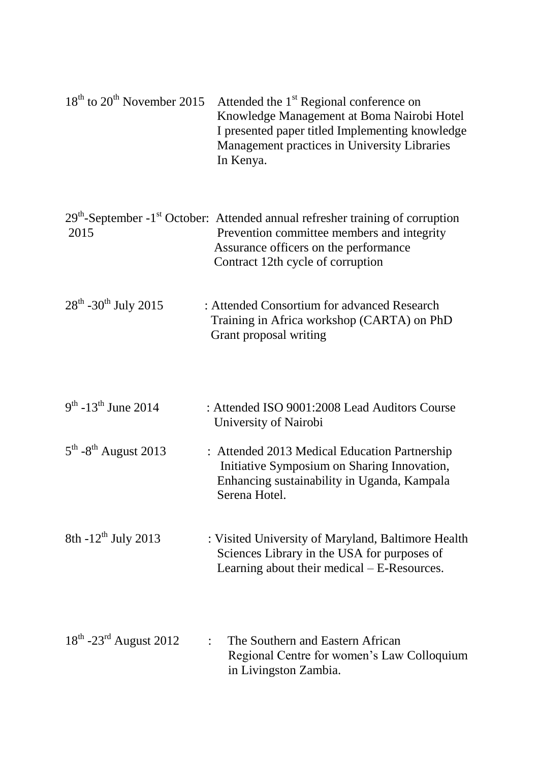| $18th$ to $20th$ November 2015               | Attended the 1 <sup>st</sup> Regional conference on<br>Knowledge Management at Boma Nairobi Hotel<br>I presented paper titled Implementing knowledge<br>Management practices in University Libraries<br>In Kenya.        |
|----------------------------------------------|--------------------------------------------------------------------------------------------------------------------------------------------------------------------------------------------------------------------------|
| 2015                                         | $29th$ -September -1 <sup>st</sup> October: Attended annual refresher training of corruption<br>Prevention committee members and integrity<br>Assurance officers on the performance<br>Contract 12th cycle of corruption |
| $28^{th}$ -30 <sup>th</sup> July 2015        | : Attended Consortium for advanced Research<br>Training in Africa workshop (CARTA) on PhD<br>Grant proposal writing                                                                                                      |
| $9^{th}$ -13 <sup>th</sup> June 2014         | : Attended ISO 9001:2008 Lead Auditors Course<br>University of Nairobi                                                                                                                                                   |
| $5^{\text{th}}$ -8 <sup>th</sup> August 2013 | : Attended 2013 Medical Education Partnership<br>Initiative Symposium on Sharing Innovation,<br>Enhancing sustainability in Uganda, Kampala<br>Serena Hotel.                                                             |
| 8th $-12^{th}$ July 2013                     | : Visited University of Maryland, Baltimore Health<br>Sciences Library in the USA for purposes of<br>Learning about their medical – E-Resources.                                                                         |
| $18th$ -23 <sup>rd</sup> August 2012         | The Southern and Eastern African<br>Regional Centre for women's Law Colloquium<br>in Livingston Zambia.                                                                                                                  |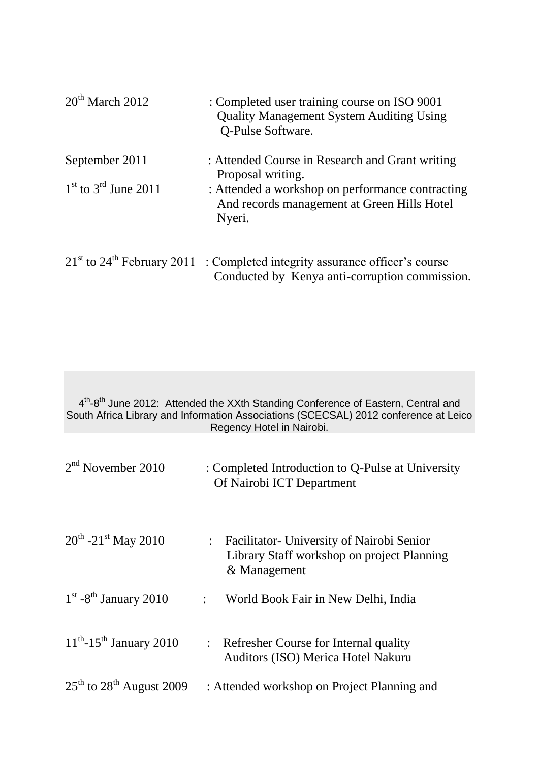| $20th$ March 2012        | : Completed user training course on ISO 9001<br><b>Quality Management System Auditing Using</b><br>Q-Pulse Software.              |
|--------------------------|-----------------------------------------------------------------------------------------------------------------------------------|
| September 2011           | : Attended Course in Research and Grant writing<br>Proposal writing.                                                              |
| $1st$ to $3rd$ June 2011 | : Attended a workshop on performance contracting<br>And records management at Green Hills Hotel<br>Nyeri.                         |
|                          | $21st$ to $24th$ February 2011 : Completed integrity assurance officer's course<br>Conducted by Kenya anti-corruption commission. |

4<sup>th</sup>-8<sup>th</sup> June 2012: Attended the XXth Standing Conference of Eastern, Central and South Africa Library and Information Associations (SCECSAL) 2012 conference at Leico Regency Hotel in Nairobi.

| $2nd$ November 2010                      | : Completed Introduction to Q-Pulse at University<br>Of Nairobi ICT Department                             |
|------------------------------------------|------------------------------------------------------------------------------------------------------------|
| $20^{th}$ -21 <sup>st</sup> May 2010     | : Facilitator - University of Nairobi Senior<br>Library Staff workshop on project Planning<br>& Management |
| $1st$ -8 <sup>th</sup> January 2010      | World Book Fair in New Delhi, India<br>$\ddot{\cdot}$                                                      |
| $11^{th}$ -15 <sup>th</sup> January 2010 | : Refresher Course for Internal quality<br>Auditors (ISO) Merica Hotel Nakuru                              |
| $25th$ to $28th$ August 2009             | : Attended workshop on Project Planning and                                                                |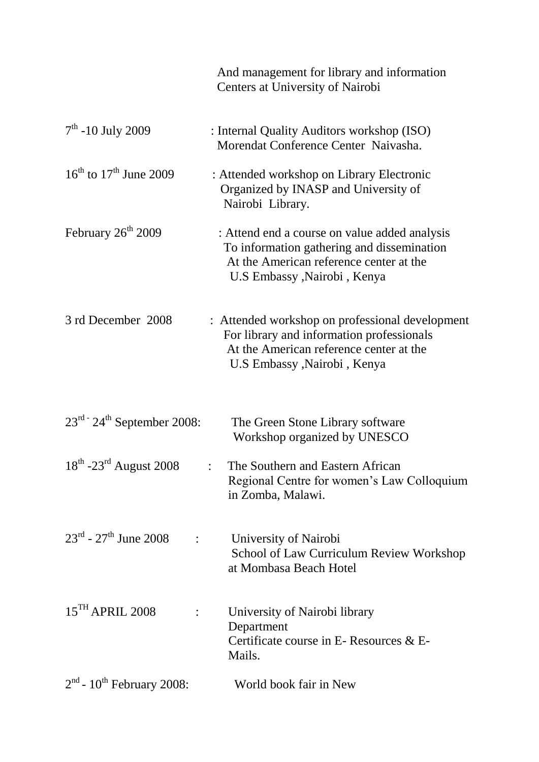|                                                                 | And management for library and information<br>Centers at University of Nairobi                                                                                           |
|-----------------------------------------------------------------|--------------------------------------------------------------------------------------------------------------------------------------------------------------------------|
| $7th$ -10 July 2009                                             | : Internal Quality Auditors workshop (ISO)<br>Morendat Conference Center Naivasha.                                                                                       |
| $16^{th}$ to $17^{th}$ June 2009                                | : Attended workshop on Library Electronic<br>Organized by INASP and University of<br>Nairobi Library.                                                                    |
| February $26th 2009$                                            | : Attend end a course on value added analysis<br>To information gathering and dissemination<br>At the American reference center at the<br>U.S Embassy , Nairobi , Kenya  |
| 3 rd December 2008                                              | : Attended workshop on professional development<br>For library and information professionals<br>At the American reference center at the<br>U.S Embassy , Nairobi , Kenya |
| $23rd$ - $24th$ September 2008:                                 | The Green Stone Library software<br>Workshop organized by UNESCO                                                                                                         |
| 18 <sup>th</sup> -23 <sup>rd</sup> August 2008                  | The Southern and Eastern African<br>Regional Centre for women's Law Colloquium<br>in Zomba, Malawi.                                                                      |
| $23^{\text{rd}}$ - $27^{\text{th}}$ June 2008<br>$\ddot{\cdot}$ | University of Nairobi<br>School of Law Curriculum Review Workshop<br>at Mombasa Beach Hotel                                                                              |
| $15$ <sup>TH</sup> APRIL 2008                                   | University of Nairobi library<br>Department<br>Certificate course in E-Resources $&E-$<br>Mails.                                                                         |
| $2nd$ - 10 <sup>th</sup> February 2008:                         | World book fair in New                                                                                                                                                   |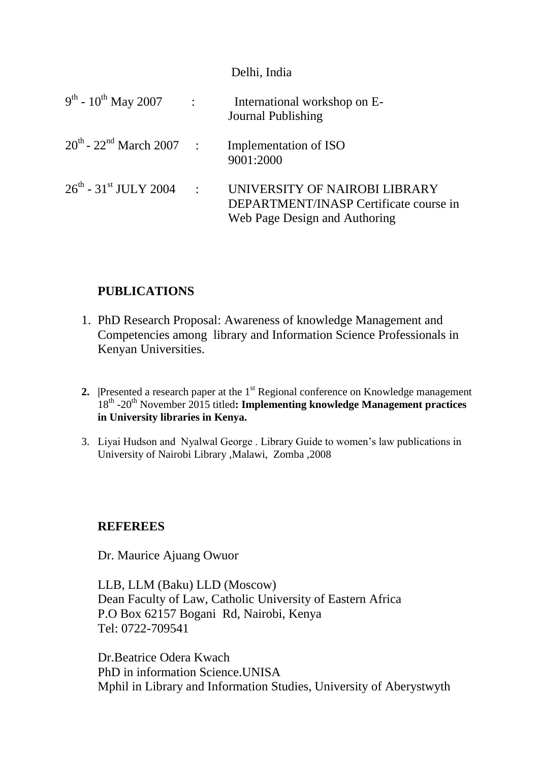#### Delhi, India

| $9^{th}$ - $10^{th}$ May 2007                 | $\sim 10^{-10}$ | International workshop on E-<br>Journal Publishing                                                       |
|-----------------------------------------------|-----------------|----------------------------------------------------------------------------------------------------------|
| $20^{th}$ - $22^{nd}$ March $2007$ :          |                 | Implementation of ISO<br>9001:2000                                                                       |
| $26^{\text{th}}$ - 31 <sup>st</sup> JULY 2004 | $\sim 10^4$     | UNIVERSITY OF NAIROBI LIBRARY<br>DEPARTMENT/INASP Certificate course in<br>Web Page Design and Authoring |

## **PUBLICATIONS**

- 1. PhD Research Proposal: Awareness of knowledge Management and Competencies among library and Information Science Professionals in Kenyan Universities.
- **2. Presented a research paper at the 1<sup>st</sup> Regional conference on Knowledge management** 18<sup>th</sup> -20<sup>th</sup> November 2015 titled: Implementing knowledge Management practices **in University libraries in Kenya.**
- 3. Liyai Hudson and Nyalwal George . Library Guide to women's law publications in University of Nairobi Library ,Malawi, Zomba ,2008

### **REFEREES**

Dr. Maurice Ajuang Owuor

LLB, LLM (Baku) LLD (Moscow) Dean Faculty of Law, Catholic University of Eastern Africa P.O Box 62157 Bogani Rd, Nairobi, Kenya Tel: 0722-709541

Dr.Beatrice Odera Kwach PhD in information Science.UNISA Mphil in Library and Information Studies, University of Aberystwyth